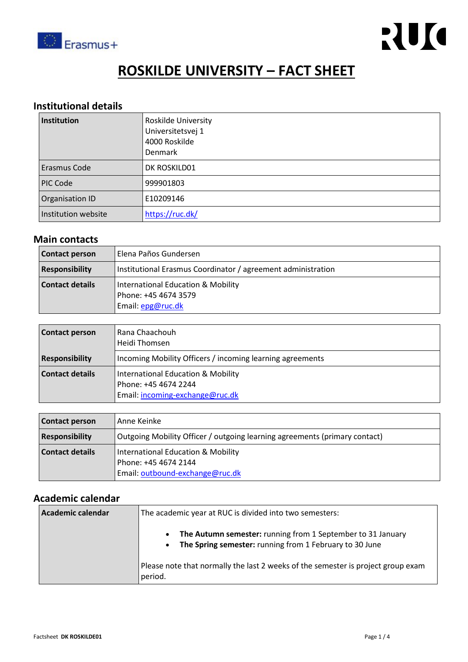

# **ROSKILDE UNIVERSITY – FACT SHEET**

## **Institutional details**

| Institution            | <b>Roskilde University</b><br>Universitetsvej 1<br>4000 Roskilde<br><b>Denmark</b> |
|------------------------|------------------------------------------------------------------------------------|
| <b>Erasmus Code</b>    | DK ROSKILD01                                                                       |
| <b>PIC Code</b>        | 999901803                                                                          |
| <b>Organisation ID</b> | E10209146                                                                          |
| Institution website    | https://ruc.dk/                                                                    |

#### **Main contacts**

| <b>Contact person</b>  | Elena Paños Gundersen                                                           |  |
|------------------------|---------------------------------------------------------------------------------|--|
| <b>Responsibility</b>  | Institutional Erasmus Coordinator / agreement administration                    |  |
| <b>Contact details</b> | International Education & Mobility<br>Phone: +45 4674 3579<br>Email: epg@ruc.dk |  |

| <b>Contact person</b> | Rana Chaachouh<br>Heidi Thomsen                                                               |
|-----------------------|-----------------------------------------------------------------------------------------------|
| <b>Responsibility</b> | Incoming Mobility Officers / incoming learning agreements                                     |
| Contact details       | International Education & Mobility<br>Phone: +45 4674 2244<br>Email: incoming-exchange@ruc.dk |

| <b>Contact person</b>  | Anne Keinke                                                                                   |
|------------------------|-----------------------------------------------------------------------------------------------|
| <b>Responsibility</b>  | Outgoing Mobility Officer / outgoing learning agreements (primary contact)                    |
| <b>Contact details</b> | International Education & Mobility<br>Phone: +45 4674 2144<br>Email: outbound-exchange@ruc.dk |

## **Academic calendar**

| Academic calendar | The academic year at RUC is divided into two semesters:                                                                                          |
|-------------------|--------------------------------------------------------------------------------------------------------------------------------------------------|
|                   | The Autumn semester: running from 1 September to 31 January<br>$\bullet$<br>The Spring semester: running from 1 February to 30 June<br>$\bullet$ |
|                   | Please note that normally the last 2 weeks of the semester is project group exam<br>period.                                                      |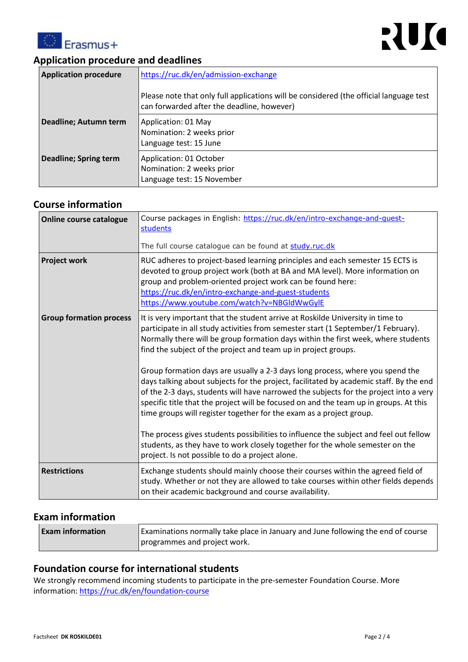



## **Application procedure and deadlines**

| <b>Application procedure</b> | https://ruc.dk/en/admission-exchange<br>Please note that only full applications will be considered (the official language test<br>can forwarded after the deadline, however) |
|------------------------------|------------------------------------------------------------------------------------------------------------------------------------------------------------------------------|
| Deadline; Autumn term        | Application: 01 May<br>Nomination: 2 weeks prior<br>Language test: 15 June                                                                                                   |
| Deadline; Spring term        | Application: 01 October<br>Nomination: 2 weeks prior<br>Language test: 15 November                                                                                           |

## **Course information**

| <b>Online course catalogue</b> | Course packages in English: https://ruc.dk/en/intro-exchange-and-quest-<br>students<br>The full course catalogue can be found at study.ruc.dk                                                                                                                                                                                                                                                                                    |
|--------------------------------|----------------------------------------------------------------------------------------------------------------------------------------------------------------------------------------------------------------------------------------------------------------------------------------------------------------------------------------------------------------------------------------------------------------------------------|
|                                |                                                                                                                                                                                                                                                                                                                                                                                                                                  |
| <b>Project work</b>            | RUC adheres to project-based learning principles and each semester 15 ECTS is<br>devoted to group project work (both at BA and MA level). More information on<br>group and problem-oriented project work can be found here:<br>https://ruc.dk/en/intro-exchange-and-guest-students<br>https://www.youtube.com/watch?v=NBGldWwGylE                                                                                                |
| <b>Group formation process</b> | It is very important that the student arrive at Roskilde University in time to<br>participate in all study activities from semester start (1 September/1 February).<br>Normally there will be group formation days within the first week, where students<br>find the subject of the project and team up in project groups.                                                                                                       |
|                                | Group formation days are usually a 2-3 days long process, where you spend the<br>days talking about subjects for the project, facilitated by academic staff. By the end<br>of the 2-3 days, students will have narrowed the subjects for the project into a very<br>specific title that the project will be focused on and the team up in groups. At this<br>time groups will register together for the exam as a project group. |
|                                | The process gives students possibilities to influence the subject and feel out fellow<br>students, as they have to work closely together for the whole semester on the<br>project. Is not possible to do a project alone.                                                                                                                                                                                                        |
| <b>Restrictions</b>            | Exchange students should mainly choose their courses within the agreed field of<br>study. Whether or not they are allowed to take courses within other fields depends<br>on their academic background and course availability.                                                                                                                                                                                                   |
|                                |                                                                                                                                                                                                                                                                                                                                                                                                                                  |

## **Exam information**

| <b>Exam information</b> | Examinations normally take place in January and June following the end of course |
|-------------------------|----------------------------------------------------------------------------------|
|                         | programmes and project work.                                                     |

#### **Foundation course for international students**

We strongly recommend incoming students to participate in the pre-semester Foundation Course. More information:<https://ruc.dk/en/foundation-course>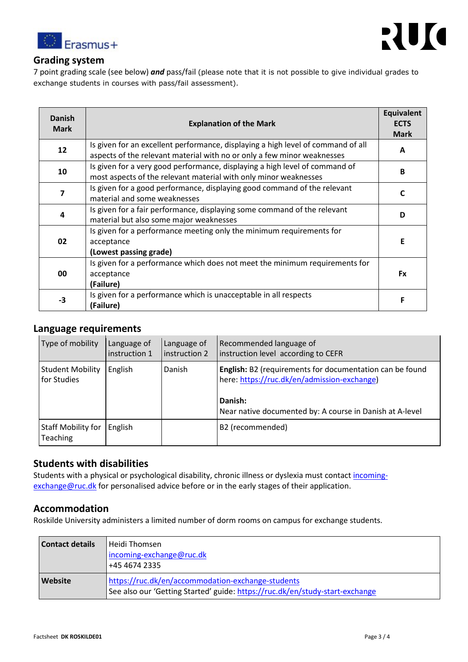



#### **Grading system**

7 point grading scale (see below) *and* pass/fail (please note that it is not possible to give individual grades to exchange students in courses with pass/fail assessment).

| <b>Danish</b><br><b>Mark</b> | <b>Explanation of the Mark</b>                                                                                                                              | <b>Equivalent</b><br><b>ECTS</b><br><b>Mark</b> |
|------------------------------|-------------------------------------------------------------------------------------------------------------------------------------------------------------|-------------------------------------------------|
| 12                           | Is given for an excellent performance, displaying a high level of command of all<br>aspects of the relevant material with no or only a few minor weaknesses | A                                               |
| 10                           | Is given for a very good performance, displaying a high level of command of<br>most aspects of the relevant material with only minor weaknesses             | B                                               |
| 7                            | Is given for a good performance, displaying good command of the relevant<br>material and some weaknesses                                                    | C                                               |
| 4                            | Is given for a fair performance, displaying some command of the relevant<br>material but also some major weaknesses                                         | D                                               |
| 02                           | Is given for a performance meeting only the minimum requirements for<br>acceptance<br>(Lowest passing grade)                                                | Ε                                               |
| 00                           | Is given for a performance which does not meet the minimum requirements for<br>acceptance<br>(Failure)                                                      | <b>Fx</b>                                       |
| $-3$                         | Is given for a performance which is unacceptable in all respects<br>(Failure)                                                                               | F                                               |

#### **Language requirements**

| Type of mobility                             | Language of<br>instruction 1 | Language of<br>instruction 2 | Recommended language of<br>instruction level according to CEFR                                                                                                                        |
|----------------------------------------------|------------------------------|------------------------------|---------------------------------------------------------------------------------------------------------------------------------------------------------------------------------------|
| <b>Student Mobility</b><br>for Studies       | English                      | Danish                       | <b>English:</b> B2 (requirements for documentation can be found<br>here: https://ruc.dk/en/admission-exchange)<br>Danish:<br>Near native documented by: A course in Danish at A-level |
| <b>Staff Mobility for</b><br><b>Teaching</b> | English                      |                              | B2 (recommended)                                                                                                                                                                      |

### **Students with disabilities**

Students with a physical or psychological disability, chronic illness or dyslexia must contact [incoming](mailto:incoming-exchange@ruc.dk)[exchange@ruc.dk](mailto:incoming-exchange@ruc.dk) for personalised advice before or in the early stages of their application.

#### **Accommodation**

Roskilde University administers a limited number of dorm rooms on campus for exchange students.

| Contact details | ı Heidi Thomsen -<br>incoming-exchange@ruc.dk<br> +45 4674 2335                                                                   |
|-----------------|-----------------------------------------------------------------------------------------------------------------------------------|
| <b>Website</b>  | https://ruc.dk/en/accommodation-exchange-students<br>See also our 'Getting Started' guide: https://ruc.dk/en/study-start-exchange |